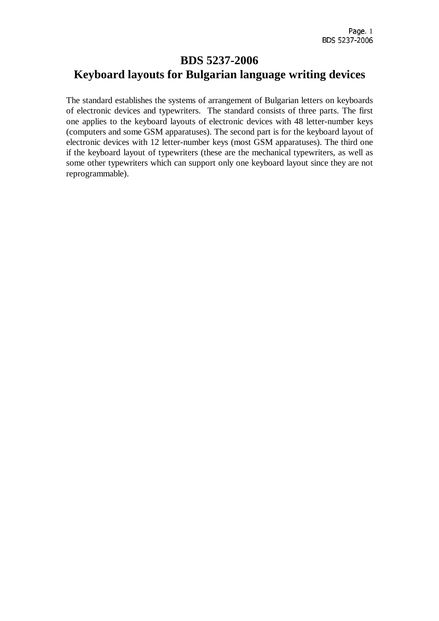## **BDS 5237-2006 Keyboard layouts for Bulgarian language writing devices**

The standard establishes the systems of arrangement of Bulgarian letters on keyboards of electronic devices and typewriters. The standard consists of three parts. The first one applies to the keyboard layouts of electronic devices with 48 letter-number keys (computers and some GSM apparatuses). The second part is for the keyboard layout of electronic devices with 12 letter-number keys (most GSM apparatuses). The third one if the keyboard layout of typewriters (these are the mechanical typewriters, as well as some other typewriters which can support only one keyboard layout since they are not reprogrammable).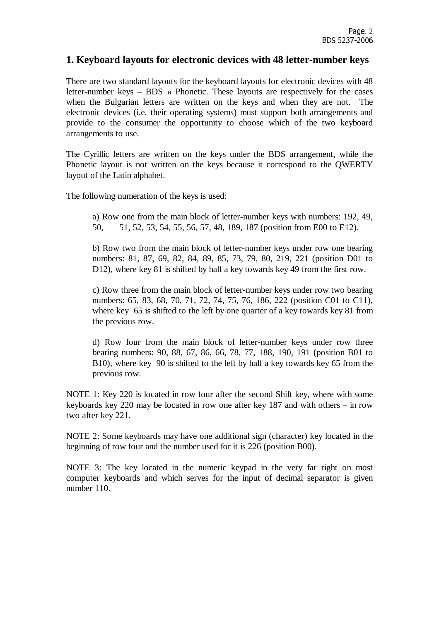#### **1. Keyboard layouts for electronic devices with 48 letter-number keys**

There are two standard layouts for the keyboard layouts for electronic devices with 48 letter-number keys – BDS и Phonetic. These layouts are respectively for the cases when the Bulgarian letters are written on the keys and when they are not. The electronic devices (i.e. their operating systems) must support both arrangements and provide to the consumer the opportunity to choose which of the two keyboard arrangements to use.

The Cyrillic letters are written on the keys under the BDS arrangement, while the Phonetic layout is not written on the keys because it correspond to the QWERTY layout of the Latin alphabet.

The following numeration of the keys is used:

a) Row one from the main block of letter-number keys with numbers: 192, 49, 50, 51, 52, 53, 54, 55, 56, 57, 48, 189, 187 (position from E00 to E12).

b) Row two from the main block of letter-number keys under row one bearing numbers: 81, 87, 69, 82, 84, 89, 85, 73, 79, 80, 219, 221 (position D01 to D12), where key 81 is shifted by half a key towards key 49 from the first row.

c) Row three from the main block of letter-number keys under row two bearing numbers: 65, 83, 68, 70, 71, 72, 74, 75, 76, 186, 222 (position C01 to C11), where key 65 is shifted to the left by one quarter of a key towards key 81 from the previous row.

d) Row four from the main block of letter-number keys under row three bearing numbers: 90, 88, 67, 86, 66, 78, 77, 188, 190, 191 (position B01 to B10), where key 90 is shifted to the left by half a key towards key 65 from the previous row.

NOTE 1: Key 220 is located in row four after the second Shift key, where with some keyboards key 220 may be located in row one after key 187 and with others – in row two after key 221.

NOTE 2: Some keyboards may have one additional sign (character) key located in the beginning of row four and the number used for it is 226 (position B00).

NOTE 3: The key located in the numeric keypad in the very far right on most computer keyboards and which serves for the input of decimal separator is given number 110.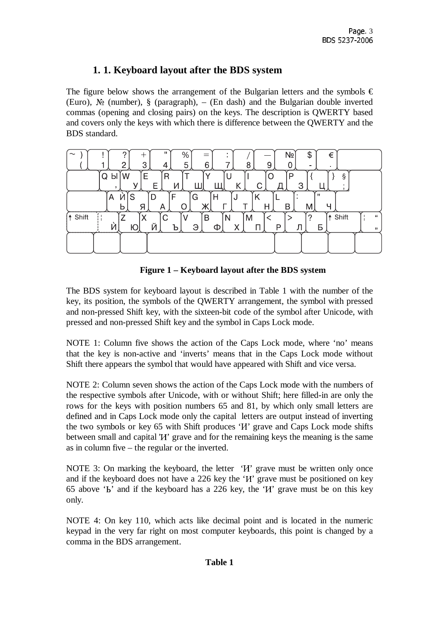## **1. 1. Keyboard layout after the BDS system**

The figure below shows the arrangement of the Bulgarian letters and the symbols  $\epsilon$ (Euro), № (number), § (paragraph), – (En dash) and the Bulgarian double inverted commas (opening and closing pairs) on the keys. The description is QWERTY based and covers only the keys with which there is difference between the QWERTY and the BDS standard.

| п.<br>$\%$<br>Nº<br>\$<br>€<br>$\widetilde{\phantom{m}}$<br>5<br>3<br>6<br>c<br>8<br>9<br>4<br>۰<br>$\blacksquare$ |                  |
|--------------------------------------------------------------------------------------------------------------------|------------------|
| E<br>Q<br>$\mathsf{R}$<br>ş<br>W<br>P<br>ы<br>U<br>O<br>3<br>v<br>Κ<br>C.<br>п<br>И<br>⊢<br>д                      |                  |
| ш<br>F<br>Ņ<br>G<br>S<br>D<br>Α<br>Н<br>ĸ<br>N<br>Ж<br>B<br>Я<br>Н<br>ч<br>M<br>A<br>O<br>b                        |                  |
| f† Shift<br>Shift<br>C<br>⇁<br>B<br>?<br>N<br>M<br>⋀<br>Й<br>Э<br>X<br>Ń<br>P<br>Ю<br>Б<br>Ъ<br>П<br>ന             | $\epsilon$<br>,, |
|                                                                                                                    |                  |

| Figure 1 – Keyboard layout after the BDS system |  |  |
|-------------------------------------------------|--|--|
|                                                 |  |  |

The BDS system for keyboard layout is described in Table 1 with the number of the key, its position, the symbols of the QWERTY arrangement, the symbol with pressed and non-pressed Shift key, with the sixteen-bit code of the symbol after Unicode, with pressed and non-pressed Shift key and the symbol in Caps Lock mode.

NOTE 1: Column five shows the action of the Caps Lock mode, where 'no' means that the key is non-active and 'inverts' means that in the Caps Lock mode without Shift there appears the symbol that would have appeared with Shift and vice versa.

NOTE 2: Column seven shows the action of the Caps Lock mode with the numbers of the respective symbols after Unicode, with or without Shift; here filled-in are only the rows for the keys with position numbers 65 and 81, by which only small letters are defined and in Caps Lock mode only the capital letters are output instead of inverting the two symbols or key 65 with Shift produces 'И' grave and Caps Lock mode shifts between small and capital 'И' grave and for the remaining keys the meaning is the same as in column five – the regular or the inverted.

NOTE 3: On marking the keyboard, the letter '*H*' grave must be written only once and if the keyboard does not have a 226 key the 'И' grave must be positioned on key 65 above 'Ь' and if the keyboard has a 226 key, the 'И' grave must be on this key only.

NOTE 4: On key 110, which acts like decimal point and is located in the numeric keypad in the very far right on most computer keyboards, this point is changed by a comma in the BDS arrangement.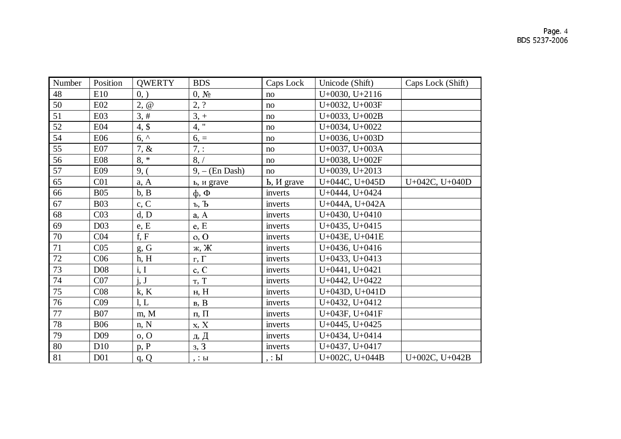| Number | Position         | <b>QWERTY</b> | <b>BDS</b>                                        | Caps Lock                 | Unicode (Shift)  | Caps Lock (Shift) |
|--------|------------------|---------------|---------------------------------------------------|---------------------------|------------------|-------------------|
| 48     | E10              | 0, )          | $0, N_2$                                          | no                        | $U+0030, U+2116$ |                   |
| 50     | E02              | $2, \omega$   | 2, ?                                              | no                        | U+0032, U+003F   |                   |
| 51     | E03              | 3, #          | $3, +$                                            | no                        | U+0033, U+002B   |                   |
| 52     | <b>E04</b>       | $4,$ \$       | 4, "                                              | no                        | $U+0034, U+0022$ |                   |
| 54     | E06              | $6,^{\prime}$ | $6, =$                                            | no                        | $U+0036, U+003D$ |                   |
| 55     | E07              | $7, \&$       | 7, :                                              | no                        | U+0037, U+003A   |                   |
| 56     | <b>E08</b>       | $8, *$        | 8, /                                              | no                        | U+0038, U+002F   |                   |
| 57     | E09              | 9, (          | $9, -$ (En Dash)                                  | no                        | $U+0039, U+2013$ |                   |
| 65     | C <sub>01</sub>  | a, A          | ь, и grave                                        | <b>b</b> , <i>H</i> grave | U+044C, U+045D   | U+042C, U+040D    |
| 66     | <b>B05</b>       | b, B          | $\phi$ , $\Phi$                                   | inverts                   | $U+0444, U+0424$ |                   |
| 67     | <b>B03</b>       | c, C          | $\underline{\mathbf{b}}, \ \overline{\mathbf{b}}$ | inverts                   | U+044A, U+042A   |                   |
| 68     | C <sub>03</sub>  | d, D          | a, A                                              | inverts                   | $U+0430, U+0410$ |                   |
| 69     | D <sub>0</sub> 3 | e, E          | e, E                                              | inverts                   | $U+0435, U+0415$ |                   |
| 70     | C <sub>04</sub>  | f, F          | 0, 0                                              | inverts                   | U+043E, U+041E   |                   |
| 71     | C <sub>05</sub>  | $g$ , G       | ж, Ж                                              | inverts                   | $U+0436, U+0416$ |                   |
| 72     | C <sub>06</sub>  | h, H          | $\Gamma, \Gamma$                                  | inverts                   | $U+0433, U+0413$ |                   |
| 73     | <b>D08</b>       | i, I          | c, C                                              | inverts                   | U+0441, U+0421   |                   |
| 74     | CO7              | j, J          | T, T                                              | inverts                   | U+0442, U+0422   |                   |
| 75     | C <sub>08</sub>  | k, K          | н, $H$                                            | inverts                   | U+043D, U+041D   |                   |
| 76     | C <sub>09</sub>  | l, L          | B, B                                              | inverts                   | $U+0432, U+0412$ |                   |
| 77     | <b>B07</b>       | m, M          | $\pi$ , $\Pi$                                     | inverts                   | U+043F, U+041F   |                   |
| 78     | <b>B06</b>       | n, N          | x, X                                              | inverts                   | $U+0445, U+0425$ |                   |
| 79     | D <sub>09</sub>  | 0, 0          | д, Д                                              | inverts                   | $U+0434, U+0414$ |                   |
| 80     | D <sub>10</sub>  | p, P          | 3, 3                                              | inverts                   | $U+0437, U+0417$ |                   |
| 81     | D <sub>01</sub>  | q, Q          | $, : $ ы                                          | , : <b>bl</b>             | U+002C, U+044B   | U+002C, U+042B    |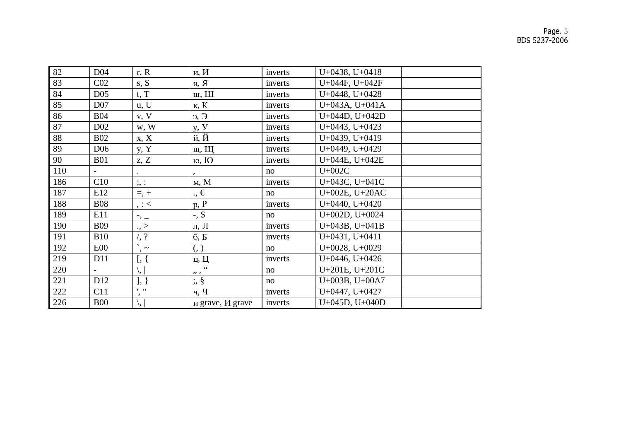# Page. 5<br>BDS 5237-2006

| 82  | D <sub>04</sub>          | r, R                                                | и, И                          | inverts | $U+0438, U+0418$ |  |
|-----|--------------------------|-----------------------------------------------------|-------------------------------|---------|------------------|--|
| 83  | C <sub>02</sub>          | s, S                                                | R, R                          | inverts | U+044F, U+042F   |  |
| 84  | D <sub>05</sub>          | t, T                                                | ш, Ш                          | inverts | $U+0448, U+0428$ |  |
| 85  | D <sub>07</sub>          | u, U                                                | K, K                          | inverts | U+043A, U+041A   |  |
| 86  | <b>B04</b>               | v, V                                                | $\theta$ , $\theta$           | inverts | U+044D, U+042D   |  |
| 87  | D <sub>02</sub>          | w, W                                                | y, <i>y</i>                   | inverts | $U+0443, U+0423$ |  |
| 88  | <b>B02</b>               | x, X                                                | й, Й                          | inverts | $U+0439, U+0419$ |  |
| 89  | D <sub>06</sub>          | y, Y                                                | щ, Щ                          | inverts | $U+0449, U+0429$ |  |
| 90  | <b>B01</b>               | z, Z                                                | ю, Ю                          | inverts | U+044E, U+042E   |  |
| 110 | $\overline{\phantom{a}}$ |                                                     |                               | no      | $U+002C$         |  |
| 186 | C10                      | $\frac{1}{2}$ , :                                   | M, M                          | inverts | U+043C, U+041C   |  |
| 187 | E12                      | $=, +$                                              | $\cdot, \in$                  | no      | U+002E, U+20AC   |  |
| 188 | <b>B08</b>               | , : $<\,$                                           | p, P                          | inverts | $U+0440, U+0420$ |  |
| 189 | E11                      | $\overline{\phantom{a}}$ , $\overline{\phantom{a}}$ | $-$ , \$                      | no      | U+002D, U+0024   |  |
| 190 | <b>B09</b>               | .,                                                  | л, Л                          | inverts | $U+043B, U+041B$ |  |
| 191 | <b>B10</b>               | $/$ , ?                                             | 6, E                          | inverts | $U+0431, U+0411$ |  |
| 192 | E00                      | $\hat{\phantom{a}}$<br>$\cdot$ $\sim$               | (, )                          | no      | $U+0028, U+0029$ |  |
| 219 | D11                      | [, {                                                | ц, Ц                          | inverts | $U+0446, U+0426$ |  |
| 220 |                          | \,                                                  | $\zeta$ $\zeta$<br>, ,        | no      | U+201E, U+201C   |  |
| 221 | D <sub>12</sub>          | $\vert, \vert$                                      | $\frac{1}{2}$ , $\frac{8}{5}$ | no      | U+003B, U+00A7   |  |
| 222 | C11                      | $1 - 11$<br>$\cdot$                                 | ч, Ч                          | inverts | $U+0447, U+0427$ |  |
| 226 | <b>B00</b>               | ۱,                                                  | и grave, <i>И</i> grave       | inverts | U+045D, U+040D   |  |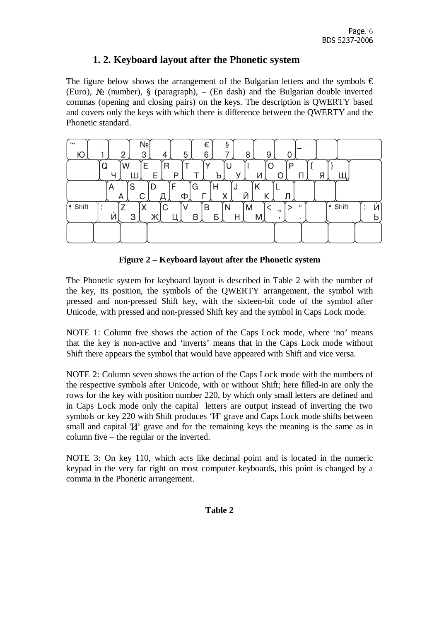## **1. 2. Keyboard layout after the Phonetic system**

The figure below shows the arrangement of the Bulgarian letters and the symbols  $\epsilon$ (Euro), № (number), § (paragraph), – (En dash) and the Bulgarian double inverted commas (opening and closing pairs) on the keys. The description is QWERTY based and covers only the keys with which there is difference between the QWERTY and the Phonetic standard.

| Nº<br>ş<br>€<br>3<br>5<br>6<br>–<br>9<br>C<br>8<br>Ю<br>4<br>-                                                                             |            |
|--------------------------------------------------------------------------------------------------------------------------------------------|------------|
| W<br>Е<br>Q<br>R<br>P<br>U<br>P<br>Я<br>И<br>ν<br>г<br>╘<br>ь                                                                              |            |
| S<br>F<br>D<br>Η<br>G<br>Κ<br>A<br>N<br>Й<br>Χ<br>Κ<br>Л<br>С<br>Ф<br>Α<br>−                                                               |            |
| $\mathsf{C}$<br><b>↑ Shift</b><br>⇁<br>B<br>"<br>M<br>N<br>$\ddot{\bullet}$<br>∧<br>,,<br>Ņ<br>3<br>B<br>V<br>Б<br>Η<br>M<br>л<br>л.<br>zr | Shift<br>и |
|                                                                                                                                            |            |

**Figure 2 – Keyboard layout after the Phonetic system** 

The Phonetic system for keyboard layout is described in Table 2 with the number of the key, its position, the symbols of the QWERTY arrangement, the symbol with pressed and non-pressed Shift key, with the sixteen-bit code of the symbol after Unicode, with pressed and non-pressed Shift key and the symbol in Caps Lock mode.

NOTE 1: Column five shows the action of the Caps Lock mode, where 'no' means that the key is non-active and 'inverts' means that in the Caps Lock mode without Shift there appears the symbol that would have appeared with Shift and vice versa.

NOTE 2: Column seven shows the action of the Caps Lock mode with the numbers of the respective symbols after Unicode, with or without Shift; here filled-in are only the rows for the key with position number 220, by which only small letters are defined and in Caps Lock mode only the capital letters are output instead of inverting the two symbols or key 220 with Shift produces '*H*' grave and Caps Lock mode shifts between small and capital '*H*' grave and for the remaining keys the meaning is the same as in column five – the regular or the inverted.

NOTE 3: On key 110, which acts like decimal point and is located in the numeric keypad in the very far right on most computer keyboards, this point is changed by a comma in the Phonetic arrangement.

#### **Table 2**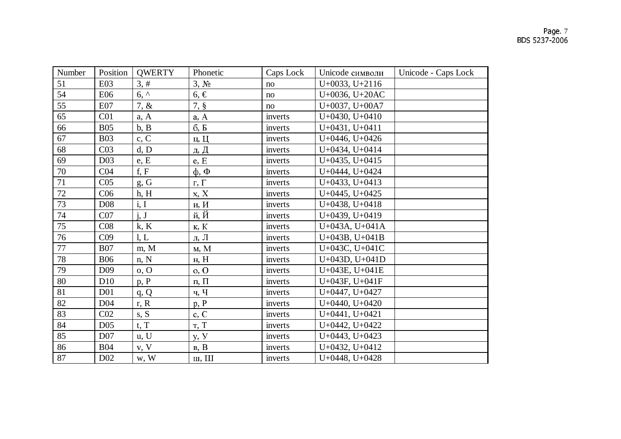| Number | Position         | <b>QWERTY</b> | Phonetic          | Caps Lock | Unicode символи     | Unicode - Caps Lock |
|--------|------------------|---------------|-------------------|-----------|---------------------|---------------------|
| 51     | <b>E03</b>       | 3, #          | 3, M <sub>2</sub> | no        | $U+0033, U+2116$    |                     |
| 54     | E06              | $6,^{\wedge}$ | $6, \in$          | no        | U+0036, U+20AC      |                     |
| 55     | E07              | $7, \&$       | $7, \S$           | no        | U+0037, U+00A7      |                     |
| 65     | C <sub>01</sub>  | a, A          | a, A              | inverts   | $U+0430, U+0410$    |                     |
| 66     | <b>B05</b>       | b, B          | 6, B              | inverts   | $U+0431, U+0411$    |                     |
| 67     | <b>B03</b>       | c, C          | ц, Ц              | inverts   | $U+0446, U+0426$    |                     |
| 68     | C <sub>03</sub>  | d, D          | д, Д              | inverts   | $U+0434, U+0414$    |                     |
| 69     | D03              | e, E          | e, E              | inverts   | $U+0435, U+0415$    |                     |
| 70     | C <sub>04</sub>  | f, F          | $\phi$ , $\Phi$   | inverts   | $U+0444, U+0424$    |                     |
| 71     | C <sub>05</sub>  | g, G          | г, $\Gamma$       | inverts   | $U+0433, U+0413$    |                     |
| 72     | C <sub>06</sub>  | h, H          | x, X              | inverts   | $U+0445, U+0425$    |                     |
| 73     | D <sub>08</sub>  | i, I          | и, И              | inverts   | $U+0438, U+0418$    |                     |
| 74     | CO7              | i, J          | й, Й              | inverts   | $U+0439, U+0419$    |                     |
| 75     | C <sub>08</sub>  | k, K          | к, К              | inverts   | $U+043A, U+041A$    |                     |
| 76     | C <sub>09</sub>  | l, L          | л, Л              | inverts   | $U+043B, U+041B$    |                     |
| 77     | <b>B07</b>       | m, M          | M, M              | inverts   | U+043C, U+041C      |                     |
| 78     | <b>B06</b>       | n, N          | н, H              | inverts   | U+043D, U+041D      |                     |
| 79     | D <sub>0</sub> 9 | 0, 0          | 0, 0              | inverts   | U+043E, U+041E      |                     |
| 80     | D10              | p, P          | $\Pi$ , $\Pi$     | inverts   | U+043F, U+041F      |                     |
| 81     | D <sub>01</sub>  | q, Q          | ч, Ч              | inverts   | $U+0447, U+0427$    |                     |
| 82     | D <sub>04</sub>  | r, R          | p, P              | inverts   | $U+0440, U+0420$    |                     |
| 83     | CO <sub>2</sub>  | s, S          | c, C              | inverts   | $U+0441, U+0421$    |                     |
| 84     | D <sub>05</sub>  | t, T          | T, T              | inverts   | $U+0442, U+0422$    |                     |
| 85     | D <sub>07</sub>  | u, U          | y, <i>y</i>       | inverts   | $U+0443, U+0423$    |                     |
| 86     | <b>B04</b>       | v, V          | B, B              | inverts   | $U+0432, U+0412$    |                     |
| 87     | D <sub>02</sub>  | w, W          | ш, Ш              | inverts   | $U+0448$ , $U+0428$ |                     |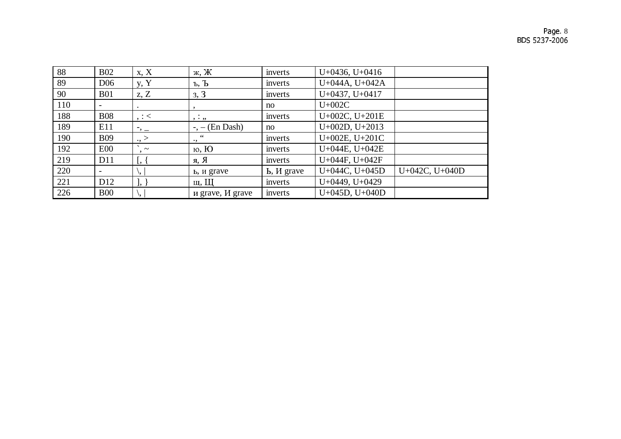| 88  | <b>B02</b>               | x, X                           | ж, Ж                        | inverts         | $U+0436, U+0416$ |                  |
|-----|--------------------------|--------------------------------|-----------------------------|-----------------|------------------|------------------|
| 89  | D <sub>06</sub>          | y, Y                           | $\mathbf{b}, \mathbf{b}$    | inverts         | U+044A, U+042A   |                  |
| 90  | <b>B01</b>               | z, Z                           | 3, 3                        | inverts         | $U+0437, U+0417$ |                  |
| 110 |                          | $\bullet$                      |                             | no              | $U+002C$         |                  |
| 188 | <b>B08</b>               | , :                            | , . , ,                     | inverts         | U+002C, U+201E   |                  |
| 189 | E11                      | $^{-}$ , $-$                   | (En Dash)<br>$-,-$          | no              | $U+002D, U+2013$ |                  |
| 190 | <b>B09</b>               | .,                             | $\epsilon$ $\epsilon$<br>., | inverts         | U+002E, U+201C   |                  |
| 192 | E00                      | $\sim$                         | ю, Ю                        | inverts         | U+044E, U+042E   |                  |
| 219 | D11                      | $\left[\right, \left. \right]$ | я, Я                        | inverts         | U+044F, U+042F   |                  |
| 220 | $\overline{\phantom{a}}$ | ۱,                             | ь, и grave                  | $b$ , $M$ grave | U+044C, U+045D   | $U+042C, U+040D$ |
| 221 | D <sub>12</sub>          | $], \}$                        | щ, Щ                        | inverts         | $U+0449, U+0429$ |                  |
| 226 | <b>B00</b>               | \,                             | и grave, <i>И</i> grave     | inverts         | $U+045D, U+040D$ |                  |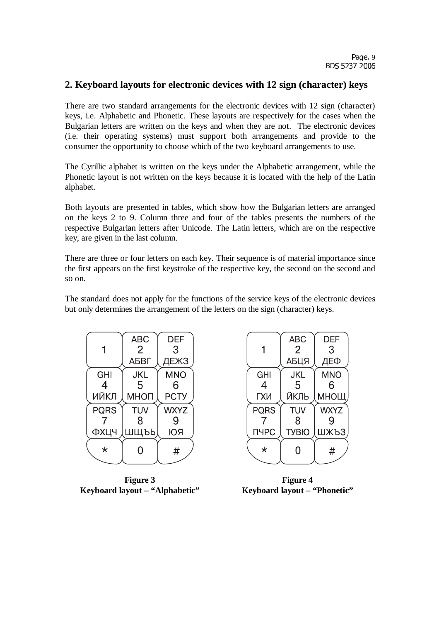#### **2. Keyboard layouts for electronic devices with 12 sign (character) keys**

There are two standard arrangements for the electronic devices with 12 sign (character) keys, i.e. Alphabetic and Phonetic. These layouts are respectively for the cases when the Bulgarian letters are written on the keys and when they are not. The electronic devices (i.e. their operating systems) must support both arrangements and provide to the consumer the opportunity to choose which of the two keyboard arrangements to use.

The Cyrillic alphabet is written on the keys under the Alphabetic arrangement, while the Phonetic layout is not written on the keys because it is located with the help of the Latin alphabet.

Both layouts are presented in tables, which show how the Bulgarian letters are arranged on the keys 2 to 9. Column three and four of the tables presents the numbers of the respective Bulgarian letters after Unicode. The Latin letters, which are on the respective key, are given in the last column.

There are three or four letters on each key. Their sequence is of material importance since the first appears on the first keystroke of the respective key, the second on the second and so on.

The standard does not apply for the functions of the service keys of the electronic devices but only determines the arrangement of the letters on the sign (character) keys.

|             | <b>ABC</b>     | <b>DEF</b>  |
|-------------|----------------|-------------|
|             | $\overline{2}$ | 3           |
|             | АБВГ           | <b>ДЕЖЗ</b> |
| <b>GHI</b>  | <b>JKL</b>     | <b>MNO</b>  |
| 4           | 5              | 6           |
| ИЙКЛ        | МНОП           | <b>PCTY</b> |
| <b>PQRS</b> | <b>TUV</b>     | <b>WXYZ</b> |
|             | 8              | 9           |
| ФХЦЧ        | ШЩЪЬ           | ЮЯ          |
| $\star$     |                | #           |

**Figure 3 Keyboard layout – "Alphabetic"** 

|             | <b>ABC</b>     | <b>DEF</b>  |
|-------------|----------------|-------------|
|             | $\overline{2}$ | 3           |
|             | АБЦЯ           | ДЕФ         |
| <b>GHI</b>  | <b>JKL</b>     | <b>MNO</b>  |
| 4           | 5              | 6           |
| ГХИ         | ЙКЛЬ           | МНОЩ        |
| <b>PQRS</b> | <b>TUV</b>     | <b>WXYZ</b> |
|             | 8              |             |
| ПЧРС        | <b>TYBIO</b>   | ШЖЪЗ        |
| $\star$     |                | #           |
|             |                |             |

**Figure 4 Keyboard layout – "Phonetic"**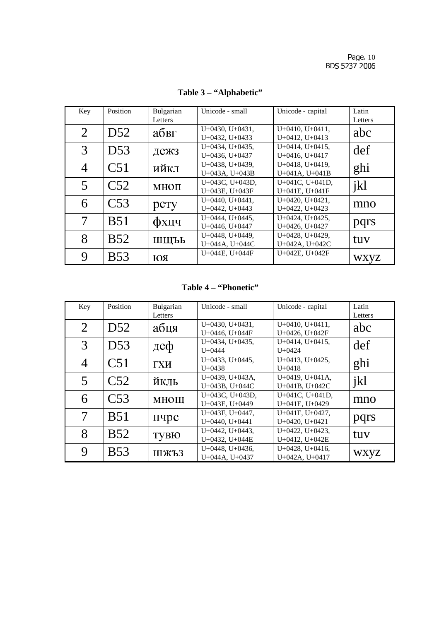| Key            | Position        | Bulgarian<br>Letters | Unicode - small                         | Unicode - capital                       | Latin<br>Letters |
|----------------|-----------------|----------------------|-----------------------------------------|-----------------------------------------|------------------|
| $\overline{2}$ | D <sub>52</sub> | абвг                 | $U+0430, U+0431,$<br>$U+0432, U+0433$   | $U+0410, U+0411,$<br>$U+0412, U+0413$   | abc              |
| 3              | D <sub>53</sub> | дежз                 | $U+0434, U+0435,$<br>U+0436, U+0437     | $U+0414, U+0415,$<br>$U+0416, U+0417$   | def              |
| $\overline{4}$ | C <sub>51</sub> | ийкл                 | $U+0438$ , $U+0439$ ,<br>U+043A, U+043B | $U+0418$ , $U+0419$ ,<br>U+041A, U+041B | ghi              |
| 5              | C <sub>52</sub> | МНОП                 | $U+043C$ , $U+043D$ ,<br>U+043E, U+043F | U+041C, U+041D,<br>U+041E, U+041F       | jkl              |
| 6              | C <sub>53</sub> | рсту                 | U+0440, U+0441,<br>U+0442, U+0443       | $U+0420, U+0421,$<br>$U+0422, U+0423$   | mno              |
|                | <b>B51</b>      | фхцч                 | $U+0444$ , $U+0445$ ,<br>U+0446, U+0447 | $U+0424, U+0425,$<br>U+0426, U+0427     | pqrs             |
| 8              | <b>B52</b>      | ШЩЪЬ                 | U+0448, U+0449,<br>U+044A, U+044C       | U+0428, U+0429,<br>U+042A, U+042C       | tuv              |
| 9              | <b>B53</b>      | ЮЯ                   | U+044E, U+044F                          | U+042E, U+042F                          | <b>WXVZ</b>      |

Table 3 - "Alphabetic"

### Table 4 - "Phonetic"

| Key            | Position        | Bulgarian | Unicode - small       | Unicode - capital     | Latin   |
|----------------|-----------------|-----------|-----------------------|-----------------------|---------|
|                |                 | Letters   |                       |                       | Letters |
| $\overline{2}$ | D <sub>52</sub> | абця      | $U+0430, U+0431,$     | $U+0410, U+0411,$     | abc     |
|                |                 |           | U+0446, U+044F        | U+0426, U+042F        |         |
| 3              | D <sub>53</sub> | деф       | $U+0434, U+0435,$     | $U+0414$ , $U+0415$ , | def     |
|                |                 |           | $U+0444$              | $U + 0424$            |         |
| $\overline{4}$ | C <sub>51</sub> | ГХИ       | $U+0433, U+0445,$     | $U+0413$ , $U+0425$ , | ghi     |
|                |                 |           | $U+0438$              | $U+0418$              |         |
| 5              | C <sub>52</sub> | йкль      | U+0439, U+043A,       | U+0419, U+041A,       | jkl     |
|                |                 |           | U+043B, U+044C        | U+041B, U+042C        |         |
| 6              | C <sub>53</sub> | МНОЩ      | U+043C, U+043D,       | U+041C, U+041D,       | mno     |
|                |                 |           | U+043E, U+0449        | U+041E, U+0429        |         |
|                | <b>B51</b>      |           | U+043F, U+0447,       | U+041F, U+0427,       |         |
|                |                 | пчрс      | U+0440, U+0441        | $U+0420, U+0421$      | pqrs    |
| 8              | <b>B52</b>      |           | $U+0442$ , $U+0443$ , | $U+0422, U+0423,$     | tuv     |
|                |                 | ТУВЮ      | U+0432, U+044E        | U+0412, U+042E        |         |
| 9              | <b>B53</b>      |           | $U+0448$ , $U+0436$ , | $U+0428$ , $U+0416$ , |         |
|                |                 | ШЖЪЗ      | U+044A, U+0437        | U+042A, U+0417        | WXYZ    |